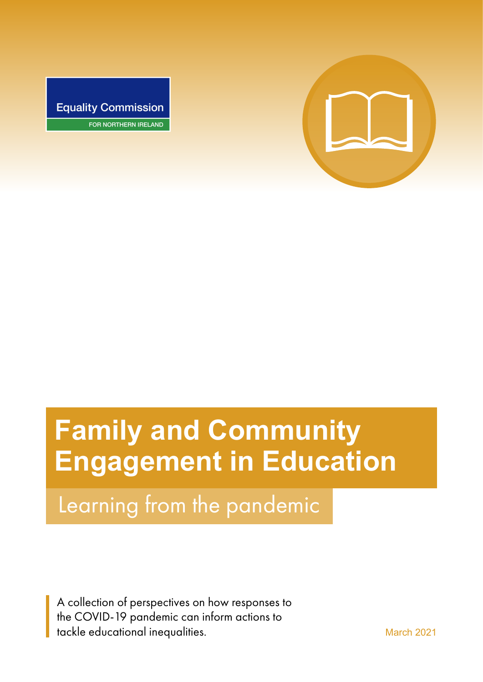

**Equality Commission** FOR NORTHERN IRELAND

# **Family and Community Engagement in Education**

Learning from the pandemic

A collection of perspectives on how responses to the COVID-19 pandemic can inform actions to tackle educational inequalities. The matrix of the March 2021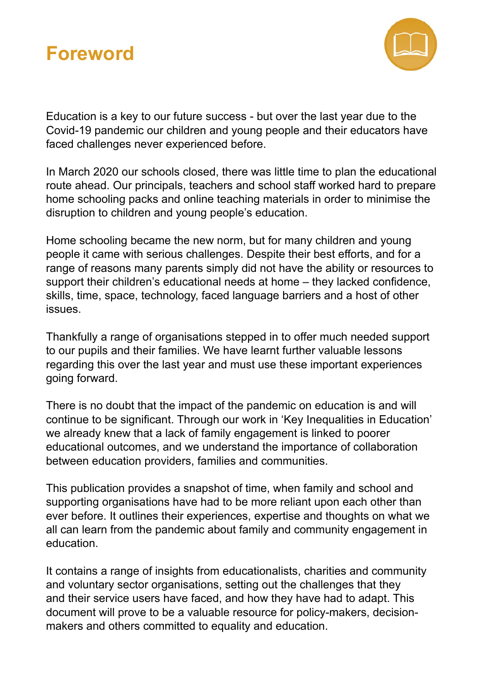



Education is a key to our future success - but over the last year due to the Covid-19 pandemic our children and young people and their educators have faced challenges never experienced before.

In March 2020 our schools closed, there was little time to plan the educational route ahead. Our principals, teachers and school staff worked hard to prepare home schooling packs and online teaching materials in order to minimise the disruption to children and young people's education.

Home schooling became the new norm, but for many children and young people it came with serious challenges. Despite their best efforts, and for a range of reasons many parents simply did not have the ability or resources to support their children's educational needs at home – they lacked confidence, skills, time, space, technology, faced language barriers and a host of other issues.

Thankfully a range of organisations stepped in to offer much needed support to our pupils and their families. We have learnt further valuable lessons regarding this over the last year and must use these important experiences going forward.

There is no doubt that the impact of the pandemic on education is and will continue to be significant. Through our work in 'Key Inequalities in Education' we already knew that a lack of family engagement is linked to poorer educational outcomes, and we understand the importance of collaboration between education providers, families and communities.

This publication provides a snapshot of time, when family and school and supporting organisations have had to be more reliant upon each other than ever before. It outlines their experiences, expertise and thoughts on what we all can learn from the pandemic about family and community engagement in education.

It contains a range of insights from educationalists, charities and community and voluntary sector organisations, setting out the challenges that they and their service users have faced, and how they have had to adapt. This document will prove to be a valuable resource for policy-makers, decisionmakers and others committed to equality and education.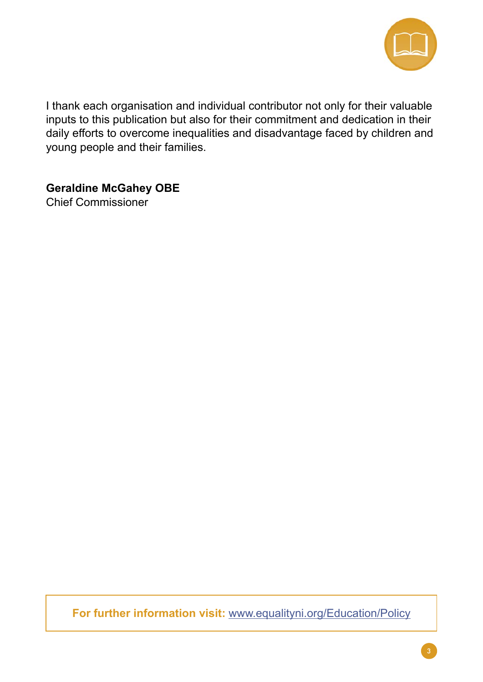

I thank each organisation and individual contributor not only for their valuable inputs to this publication but also for their commitment and dedication in their daily efforts to overcome inequalities and disadvantage faced by children and young people and their families.

**Geraldine McGahey OBE** 

Chief Commissioner

**For further information visit:** [www.equalityni.org/Education/Policy](http://www.equalityni.org/Education/Policy )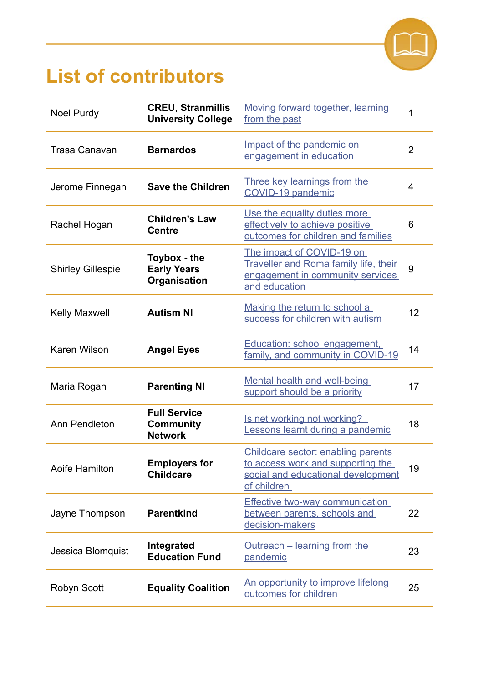

## **List of contributors**

| <b>Noel Purdy</b>        | <b>CREU, Stranmillis</b><br><b>University College</b>     | Moving forward together, learning<br>from the past                                                                             | 1              |
|--------------------------|-----------------------------------------------------------|--------------------------------------------------------------------------------------------------------------------------------|----------------|
| <b>Trasa Canavan</b>     | <b>Barnardos</b>                                          | Impact of the pandemic on<br>engagement in education                                                                           | $\overline{2}$ |
| Jerome Finnegan          | <b>Save the Children</b>                                  | Three key learnings from the<br>COVID-19 pandemic                                                                              | 4              |
| Rachel Hogan             | <b>Children's Law</b><br><b>Centre</b>                    | Use the equality duties more<br>effectively to achieve positive<br>outcomes for children and families                          | 6              |
| <b>Shirley Gillespie</b> | Toybox - the<br><b>Early Years</b><br>Organisation        | The impact of COVID-19 on<br><b>Traveller and Roma family life, their</b><br>engagement in community services<br>and education | 9              |
| <b>Kelly Maxwell</b>     | <b>Autism NI</b>                                          | Making the return to school a<br>success for children with autism                                                              | 12             |
| Karen Wilson             | <b>Angel Eyes</b>                                         | Education: school engagement,<br>family, and community in COVID-19                                                             | 14             |
| Maria Rogan              | <b>Parenting NI</b>                                       | Mental health and well-being<br>support should be a priority                                                                   | 17             |
| Ann Pendleton            | <b>Full Service</b><br><b>Community</b><br><b>Network</b> | Is net working not working?<br>Lessons learnt during a pandemic                                                                | 18             |
| Aoife Hamilton           | <b>Employers for</b><br><b>Childcare</b>                  | Childcare sector: enabling parents<br>to access work and supporting the<br>social and educational development<br>of children   | 19             |
| Jayne Thompson           | <b>Parentkind</b>                                         | <b>Effective two-way communication</b><br>between parents, schools and<br>decision-makers                                      | 22             |
| Jessica Blomquist        | Integrated<br><b>Education Fund</b>                       | <u>Outreach – learning from the</u><br>pandemic                                                                                | 23             |
| Robyn Scott              | <b>Equality Coalition</b>                                 | <u>An opportunity to improve lifelong</u><br>outcomes for children                                                             | 25             |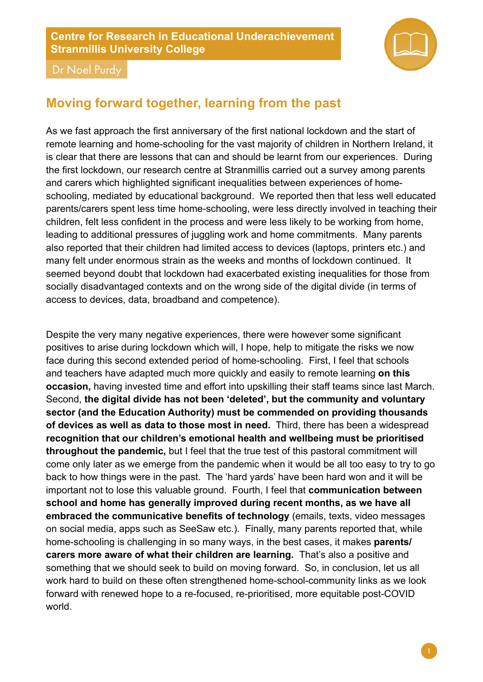#### <span id="page-4-0"></span>**Centre for Research in Educational Underachievement Stranmillis University College**



Dr Noel Purdy

## **Moving forward together, learning from the past**

As we fast approach the first anniversary of the first national lockdown and the start of remote learning and home-schooling for the vast majority of children in Northern Ireland, it is clear that there are lessons that can and should be learnt from our experiences. During the first lockdown, our research centre at Stranmillis carried out a survey among parents and carers which highlighted significant inequalities between experiences of homeschooling, mediated by educational background. We reported then that less well educated parents/carers spent less time home-schooling, were less directly involved in teaching their children, felt less confident in the process and were less likely to be working from home, leading to additional pressures of juggling work and home commitments. Many parents also reported that their children had limited access to devices (laptops, printers etc.) and many felt under enormous strain as the weeks and months of lockdown continued. It seemed beyond doubt that lockdown had exacerbated existing inequalities for those from socially disadvantaged contexts and on the wrong side of the digital divide (in terms of access to devices, data, broadband and competence).

 **of devices as well as data to those most in need.** Third, there has been a widespread Despite the very many negative experiences, there were however some significant positives to arise during lockdown which will, I hope, help to mitigate the risks we now face during this second extended period of home-schooling. First, I feel that schools and teachers have adapted much more quickly and easily to remote learning **on this occasion,** having invested time and effort into upskilling their staff teams since last March. Second, **the digital divide has not been 'deleted', but the community and voluntary sector (and the Education Authority) must be commended on providing thousands recognition that our children's emotional health and wellbeing must be prioritised throughout the pandemic,** but I feel that the true test of this pastoral commitment will come only later as we emerge from the pandemic when it would be all too easy to try to go back to how things were in the past. The 'hard yards' have been hard won and it will be important not to lose this valuable ground. Fourth, I feel that **communication between school and home has generally improved during recent months, as we have all embraced the communicative benefits of technology** (emails, texts, video messages on social media, apps such as SeeSaw etc.). Finally, many parents reported that, while home-schooling is challenging in so many ways, in the best cases, it makes **parents/ carers more aware of what their children are learning.** That's also a positive and something that we should seek to build on moving forward. So, in conclusion, let us all work hard to build on these often strengthened home-school-community links as we look forward with renewed hope to a re-focused, re-prioritised, more equitable post-COVID world.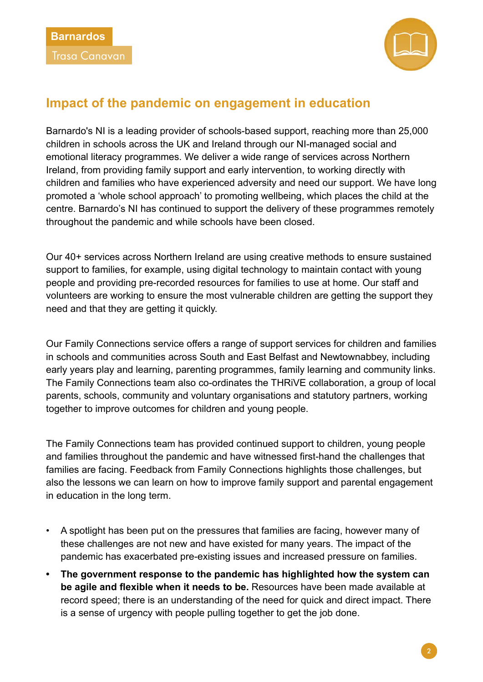<span id="page-5-0"></span>



## **Impact of the pandemic on engagement in education**

Barnardo's NI is a leading provider of schools-based support, reaching more than 25,000 children in schools across the UK and Ireland through our NI-managed social and emotional literacy programmes. We deliver a wide range of services across Northern Ireland, from providing family support and early intervention, to working directly with children and families who have experienced adversity and need our support. We have long promoted a 'whole school approach' to promoting wellbeing, which places the child at the centre. Barnardo's NI has continued to support the delivery of these programmes remotely throughout the pandemic and while schools have been closed.

Our 40+ services across Northern Ireland are using creative methods to ensure sustained support to families, for example, using digital technology to maintain contact with young people and providing pre-recorded resources for families to use at home. Our staff and volunteers are working to ensure the most vulnerable children are getting the support they need and that they are getting it quickly.

Our Family Connections service offers a range of support services for children and families in schools and communities across South and East Belfast and Newtownabbey, including early years play and learning, parenting programmes, family learning and community links. The Family Connections team also co-ordinates the THRiVE collaboration, a group of local parents, schools, community and voluntary organisations and statutory partners, working together to improve outcomes for children and young people.

The Family Connections team has provided continued support to children, young people and families throughout the pandemic and have witnessed first-hand the challenges that families are facing. Feedback from Family Connections highlights those challenges, but also the lessons we can learn on how to improve family support and parental engagement in education in the long term.

- A spotlight has been put on the pressures that families are facing, however many of these challenges are not new and have existed for many years. The impact of the pandemic has exacerbated pre-existing issues and increased pressure on families.
- **The government response to the pandemic has highlighted how the system can be agile and flexible when it needs to be.** Resources have been made available at record speed; there is an understanding of the need for quick and direct impact. There is a sense of urgency with people pulling together to get the job done.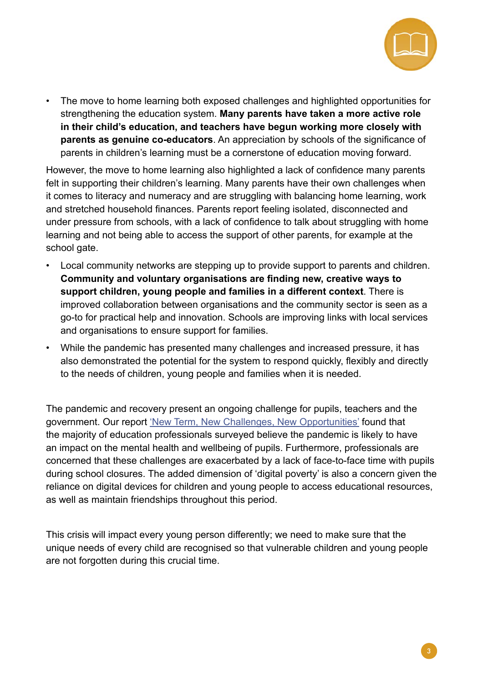

• The move to home learning both exposed challenges and highlighted opportunities for strengthening the education system. **Many parents have taken a more active role in their child's education, and teachers have begun working more closely with parents as genuine co-educators**. An appreciation by schools of the significance of parents in children's learning must be a cornerstone of education moving forward.

However, the move to home learning also highlighted a lack of confidence many parents felt in supporting their children's learning. Many parents have their own challenges when it comes to literacy and numeracy and are struggling with balancing home learning, work and stretched household finances. Parents report feeling isolated, disconnected and under pressure from schools, with a lack of confidence to talk about struggling with home learning and not being able to access the support of other parents, for example at the school gate.

- Local community networks are stepping up to provide support to parents and children. **Community and voluntary organisations are finding new, creative ways to support children, young people and families in a different context**. There is improved collaboration between organisations and the community sector is seen as a go-to for practical help and innovation. Schools are improving links with local services and organisations to ensure support for families.
- While the pandemic has presented many challenges and increased pressure, it has also demonstrated the potential for the system to respond quickly, flexibly and directly to the needs of children, young people and families when it is needed.

The pandemic and recovery present an ongoing challenge for pupils, teachers and the government. Our report ['New Term, New Challenges, New Opportunities'](https://www.barnardos.org.uk/sites/default/files/uploads/BarnardosNI-ChildrensMentalHealthAtTheHeartOfEducation.pdf) found that the majority of education professionals surveyed believe the pandemic is likely to have an impact on the mental health and wellbeing of pupils. Furthermore, professionals are concerned that these challenges are exacerbated by a lack of face-to-face time with pupils during school closures. The added dimension of 'digital poverty' is also a concern given the reliance on digital devices for children and young people to access educational resources, as well as maintain friendships throughout this period.

This crisis will impact every young person differently; we need to make sure that the unique needs of every child are recognised so that vulnerable children and young people are not forgotten during this crucial time.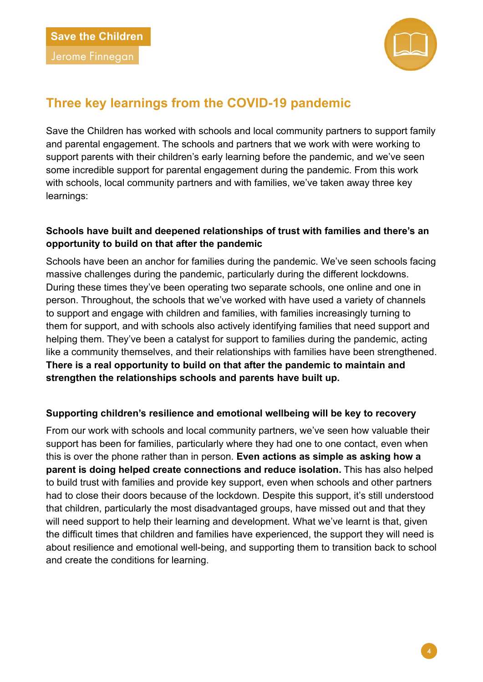

## <span id="page-7-0"></span>**Three key learnings from the COVID-19 pandemic**

Save the Children has worked with schools and local community partners to support family and parental engagement. The schools and partners that we work with were working to support parents with their children's early learning before the pandemic, and we've seen some incredible support for parental engagement during the pandemic. From this work with schools, local community partners and with families, we've taken away three key learnings:

#### **Schools have built and deepened relationships of trust with families and there's an opportunity to build on that after the pandemic**

Schools have been an anchor for families during the pandemic. We've seen schools facing massive challenges during the pandemic, particularly during the different lockdowns. During these times they've been operating two separate schools, one online and one in person. Throughout, the schools that we've worked with have used a variety of channels to support and engage with children and families, with families increasingly turning to them for support, and with schools also actively identifying families that need support and helping them. They've been a catalyst for support to families during the pandemic, acting like a community themselves, and their relationships with families have been strengthened. **There is a real opportunity to build on that after the pandemic to maintain and strengthen the relationships schools and parents have built up.** 

#### **Supporting children's resilience and emotional wellbeing will be key to recovery**

From our work with schools and local community partners, we've seen how valuable their support has been for families, particularly where they had one to one contact, even when this is over the phone rather than in person. **Even actions as simple as asking how a parent is doing helped create connections and reduce isolation.** This has also helped to build trust with families and provide key support, even when schools and other partners had to close their doors because of the lockdown. Despite this support, it's still understood that children, particularly the most disadvantaged groups, have missed out and that they will need support to help their learning and development. What we've learnt is that, given the difficult times that children and families have experienced, the support they will need is about resilience and emotional well-being, and supporting them to transition back to school and create the conditions for learning.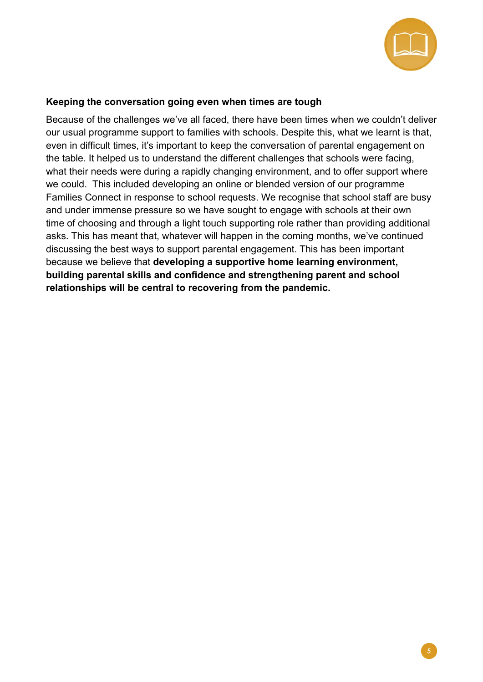

#### **Keeping the conversation going even when times are tough**

 **building parental skills and confidence and strengthening parent and school**  Because of the challenges we've all faced, there have been times when we couldn't deliver our usual programme support to families with schools. Despite this, what we learnt is that, even in difficult times, it's important to keep the conversation of parental engagement on the table. It helped us to understand the different challenges that schools were facing, what their needs were during a rapidly changing environment, and to offer support where we could. This included developing an online or blended version of our programme Families Connect in response to school requests. We recognise that school staff are busy and under immense pressure so we have sought to engage with schools at their own time of choosing and through a light touch supporting role rather than providing additional asks. This has meant that, whatever will happen in the coming months, we've continued discussing the best ways to support parental engagement. This has been important because we believe that **developing a supportive home learning environment, relationships will be central to recovering from the pandemic.**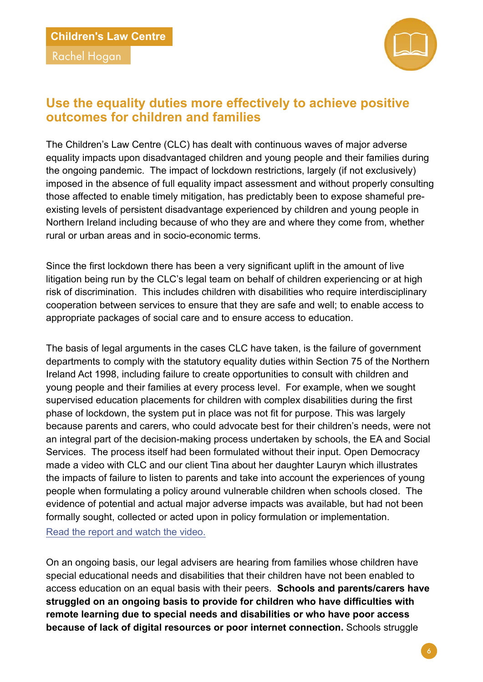<span id="page-9-0"></span>Rachel Hogan



## **Use the equality duties more effectively to achieve positive outcomes for children and families**

The Children's Law Centre (CLC) has dealt with continuous waves of major adverse equality impacts upon disadvantaged children and young people and their families during the ongoing pandemic. The impact of lockdown restrictions, largely (if not exclusively) imposed in the absence of full equality impact assessment and without properly consulting those affected to enable timely mitigation, has predictably been to expose shameful preexisting levels of persistent disadvantage experienced by children and young people in Northern Ireland including because of who they are and where they come from, whether rural or urban areas and in socio-economic terms.

Since the first lockdown there has been a very significant uplift in the amount of live litigation being run by the CLC's legal team on behalf of children experiencing or at high risk of discrimination. This includes children with disabilities who require interdisciplinary cooperation between services to ensure that they are safe and well; to enable access to appropriate packages of social care and to ensure access to education.

The basis of legal arguments in the cases CLC have taken, is the failure of government departments to comply with the statutory equality duties within Section 75 of the Northern Ireland Act 1998, including failure to create opportunities to consult with children and young people and their families at every process level. For example, when we sought supervised education placements for children with complex disabilities during the first phase of lockdown, the system put in place was not fit for purpose. This was largely because parents and carers, who could advocate best for their children's needs, were not an integral part of the decision-making process undertaken by schools, the EA and Social Services. The process itself had been formulated without their input. Open Democracy made a video with CLC and our client Tina about her daughter Lauryn which illustrates the impacts of failure to listen to parents and take into account the experiences of young people when formulating a policy around vulnerable children when schools closed. The evidence of potential and actual major adverse impacts was available, but had not been formally sought, collected or acted upon in policy formulation or implementation. [Read the report and watch the video](https://childrenslawcentre.org.uk/sedated-and-abandoned-the-struggle-to-care-for-my-disabled-daughter-during-lockdown/).

On an ongoing basis, our legal advisers are hearing from families whose children have special educational needs and disabilities that their children have not been enabled to access education on an equal basis with their peers. **Schools and parents/carers have struggled on an ongoing basis to provide for children who have difficulties with remote learning due to special needs and disabilities or who have poor access because of lack of digital resources or poor internet connection.** Schools struggle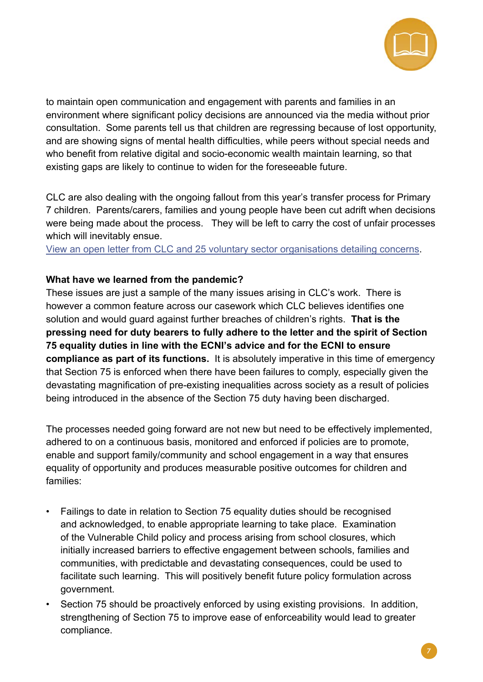

to maintain open communication and engagement with parents and families in an environment where significant policy decisions are announced via the media without prior consultation. Some parents tell us that children are regressing because of lost opportunity, and are showing signs of mental health difficulties, while peers without special needs and who benefit from relative digital and socio-economic wealth maintain learning, so that existing gaps are likely to continue to widen for the foreseeable future.

CLC are also dealing with the ongoing fallout from this year's transfer process for Primary 7 children. Parents/carers, families and young people have been cut adrift when decisions were being made about the process. They will be left to carry the cost of unfair processes which will inevitably ensue.

[View an open letter from CLC and 25 voluntary sector organisations detailing concerns](https://childrenslawcentre.org.uk/?s=transfer+test).

#### **What have we learned from the pandemic?**

These issues are just a sample of the many issues arising in CLC's work. There is however a common feature across our casework which CLC believes identifies one solution and would guard against further breaches of children's rights. **That is the pressing need for duty bearers to fully adhere to the letter and the spirit of Section 75 equality duties in line with the ECNI's advice and for the ECNI to ensure compliance as part of its functions.** It is absolutely imperative in this time of emergency that Section 75 is enforced when there have been failures to comply, especially given the devastating magnification of pre-existing inequalities across society as a result of policies being introduced in the absence of the Section 75 duty having been discharged.

The processes needed going forward are not new but need to be effectively implemented, adhered to on a continuous basis, monitored and enforced if policies are to promote, enable and support family/community and school engagement in a way that ensures equality of opportunity and produces measurable positive outcomes for children and families:

- Failings to date in relation to Section 75 equality duties should be recognised and acknowledged, to enable appropriate learning to take place. Examination of the Vulnerable Child policy and process arising from school closures, which initially increased barriers to effective engagement between schools, families and communities, with predictable and devastating consequences, could be used to facilitate such learning. This will positively benefit future policy formulation across government.
- Section 75 should be proactively enforced by using existing provisions. In addition, strengthening of Section 75 to improve ease of enforceability would lead to greater compliance.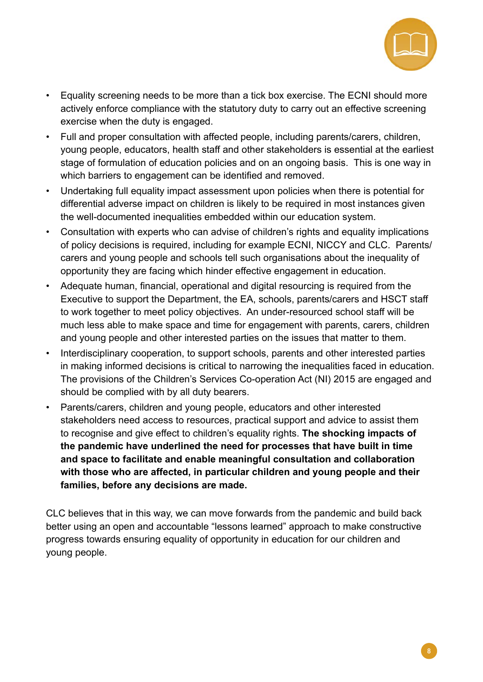

- Equality screening needs to be more than a tick box exercise. The ECNI should more actively enforce compliance with the statutory duty to carry out an effective screening exercise when the duty is engaged.
- Full and proper consultation with affected people, including parents/carers, children, young people, educators, health staff and other stakeholders is essential at the earliest stage of formulation of education policies and on an ongoing basis. This is one way in which barriers to engagement can be identified and removed.
- Undertaking full equality impact assessment upon policies when there is potential for differential adverse impact on children is likely to be required in most instances given the well-documented inequalities embedded within our education system.
- Consultation with experts who can advise of children's rights and equality implications of policy decisions is required, including for example ECNI, NICCY and CLC. Parents/ carers and young people and schools tell such organisations about the inequality of opportunity they are facing which hinder effective engagement in education.
- Adequate human, financial, operational and digital resourcing is required from the Executive to support the Department, the EA, schools, parents/carers and HSCT staff to work together to meet policy objectives. An under-resourced school staff will be much less able to make space and time for engagement with parents, carers, children and young people and other interested parties on the issues that matter to them.
- Interdisciplinary cooperation, to support schools, parents and other interested parties in making informed decisions is critical to narrowing the inequalities faced in education. The provisions of the Children's Services Co-operation Act (NI) 2015 are engaged and should be complied with by all duty bearers.
- Parents/carers, children and young people, educators and other interested stakeholders need access to resources, practical support and advice to assist them to recognise and give effect to children's equality rights. **The shocking impacts of the pandemic have underlined the need for processes that have built in time and space to facilitate and enable meaningful consultation and collaboration with those who are affected, in particular children and young people and their families, before any decisions are made.**

CLC believes that in this way, we can move forwards from the pandemic and build back better using an open and accountable "lessons learned" approach to make constructive progress towards ensuring equality of opportunity in education for our children and young people.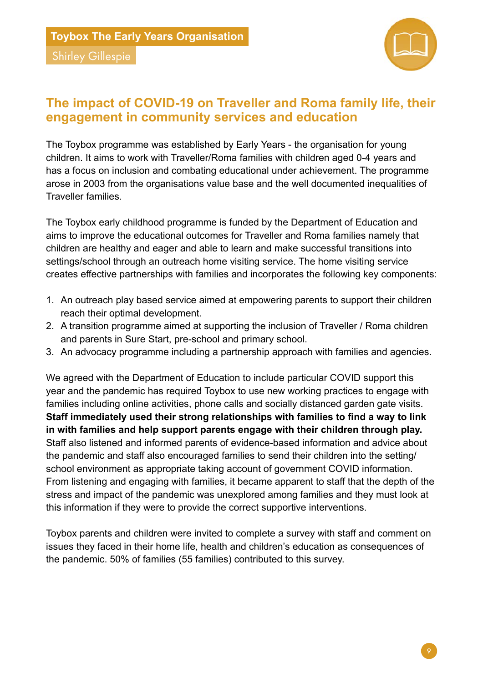

## <span id="page-12-0"></span>**The impact of COVID-19 on Traveller and Roma family life, their engagement in community services and education**

The Toybox programme was established by Early Years - the organisation for young children. It aims to work with Traveller/Roma families with children aged 0-4 years and has a focus on inclusion and combating educational under achievement. The programme arose in 2003 from the organisations value base and the well documented inequalities of Traveller families.

The Toybox early childhood programme is funded by the Department of Education and aims to improve the educational outcomes for Traveller and Roma families namely that children are healthy and eager and able to learn and make successful transitions into settings/school through an outreach home visiting service. The home visiting service creates effective partnerships with families and incorporates the following key components:

- 1. An outreach play based service aimed at empowering parents to support their children reach their optimal development.
- 2. A transition programme aimed at supporting the inclusion of Traveller / Roma children and parents in Sure Start, pre-school and primary school.
- 3. An advocacy programme including a partnership approach with families and agencies.

We agreed with the Department of Education to include particular COVID support this year and the pandemic has required Toybox to use new working practices to engage with families including online activities, phone calls and socially distanced garden gate visits. **Staff immediately used their strong relationships with families to find a way to link in with families and help support parents engage with their children through play.**  Staff also listened and informed parents of evidence-based information and advice about the pandemic and staff also encouraged families to send their children into the setting/ school environment as appropriate taking account of government COVID information. From listening and engaging with families, it became apparent to staff that the depth of the stress and impact of the pandemic was unexplored among families and they must look at this information if they were to provide the correct supportive interventions.

Toybox parents and children were invited to complete a survey with staff and comment on issues they faced in their home life, health and children's education as consequences of the pandemic. 50% of families (55 families) contributed to this survey.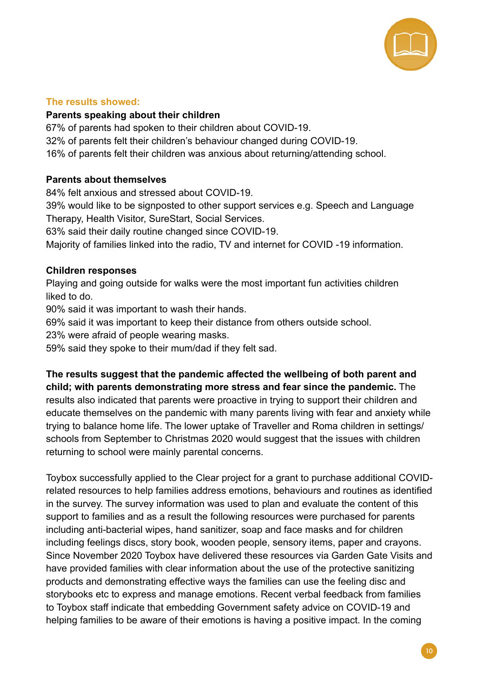

#### **The results showed:**

#### **Parents speaking about their children**

67% of parents had spoken to their children about COVID-19. 32% of parents felt their children's behaviour changed during COVID-19. 16% of parents felt their children was anxious about returning/attending school.

#### **Parents about themselves**

84% felt anxious and stressed about COVID-19.

39% would like to be signposted to other support services e.g. Speech and Language Therapy, Health Visitor, SureStart, Social Services.

63% said their daily routine changed since COVID-19.

Majority of families linked into the radio, TV and internet for COVID -19 information.

#### **Children responses**

Playing and going outside for walks were the most important fun activities children liked to do.

90% said it was important to wash their hands.

69% said it was important to keep their distance from others outside school.

23% were afraid of people wearing masks.

59% said they spoke to their mum/dad if they felt sad.

**The results suggest that the pandemic affected the wellbeing of both parent and child; with parents demonstrating more stress and fear since the pandemic.** The results also indicated that parents were proactive in trying to support their children and educate themselves on the pandemic with many parents living with fear and anxiety while trying to balance home life. The lower uptake of Traveller and Roma children in settings/ schools from September to Christmas 2020 would suggest that the issues with children returning to school were mainly parental concerns.

Toybox successfully applied to the Clear project for a grant to purchase additional COVIDrelated resources to help families address emotions, behaviours and routines as identified in the survey. The survey information was used to plan and evaluate the content of this support to families and as a result the following resources were purchased for parents including anti-bacterial wipes, hand sanitizer, soap and face masks and for children including feelings discs, story book, wooden people, sensory items, paper and crayons. Since November 2020 Toybox have delivered these resources via Garden Gate Visits and have provided families with clear information about the use of the protective sanitizing products and demonstrating effective ways the families can use the feeling disc and storybooks etc to express and manage emotions. Recent verbal feedback from families to Toybox staff indicate that embedding Government safety advice on COVID-19 and helping families to be aware of their emotions is having a positive impact. In the coming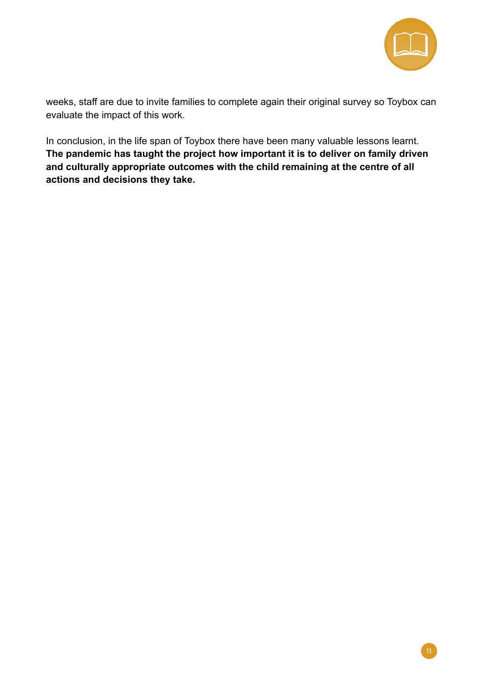

weeks, staff are due to invite families to complete again their original survey so Toybox can evaluate the impact of this work.

In conclusion, in the life span of Toybox there have been many valuable lessons learnt. **The pandemic has taught the project how important it is to deliver on family driven and culturally appropriate outcomes with the child remaining at the centre of all actions and decisions they take.**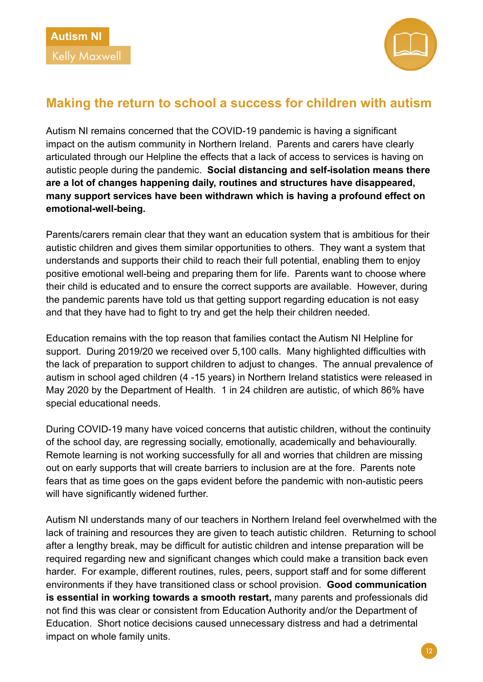<span id="page-15-0"></span>



## **Making the return to school a success for children with autism**

Autism NI remains concerned that the COVID-19 pandemic is having a significant impact on the autism community in Northern Ireland. Parents and carers have clearly articulated through our Helpline the effects that a lack of access to services is having on autistic people during the pandemic. **Social distancing and self-isolation means there are a lot of changes happening daily, routines and structures have disappeared, many support services have been withdrawn which is having a profound effect on emotional-well-being.** 

Parents/carers remain clear that they want an education system that is ambitious for their autistic children and gives them similar opportunities to others. They want a system that understands and supports their child to reach their full potential, enabling them to enjoy positive emotional well-being and preparing them for life. Parents want to choose where their child is educated and to ensure the correct supports are available. However, during the pandemic parents have told us that getting support regarding education is not easy and that they have had to fight to try and get the help their children needed.

Education remains with the top reason that families contact the Autism NI Helpline for support. During 2019/20 we received over 5,100 calls. Many highlighted difficulties with the lack of preparation to support children to adjust to changes. The annual prevalence of autism in school aged children (4 -15 years) in Northern Ireland statistics were released in May 2020 by the Department of Health. 1 in 24 children are autistic, of which 86% have special educational needs.

During COVID-19 many have voiced concerns that autistic children, without the continuity of the school day, are regressing socially, emotionally, academically and behaviourally. Remote learning is not working successfully for all and worries that children are missing out on early supports that will create barriers to inclusion are at the fore. Parents note fears that as time goes on the gaps evident before the pandemic with non-autistic peers will have significantly widened further.

Autism NI understands many of our teachers in Northern Ireland feel overwhelmed with the lack of training and resources they are given to teach autistic children. Returning to school after a lengthy break, may be difficult for autistic children and intense preparation will be required regarding new and significant changes which could make a transition back even harder. For example, different routines, rules, peers, support staff and for some different environments if they have transitioned class or school provision. **Good communication is essential in working towards a smooth restart,** many parents and professionals did not find this was clear or consistent from Education Authority and/or the Department of Education. Short notice decisions caused unnecessary distress and had a detrimental impact on whole family units.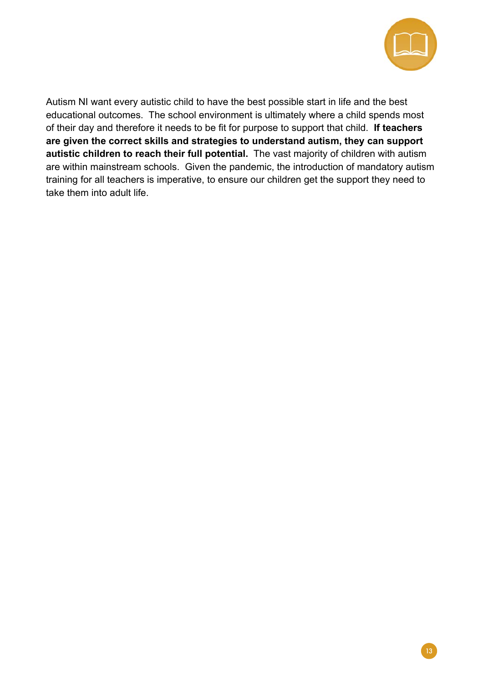

 **autistic children to reach their full potential.** The vast majority of children with autism Autism NI want every autistic child to have the best possible start in life and the best educational outcomes. The school environment is ultimately where a child spends most of their day and therefore it needs to be fit for purpose to support that child. **If teachers are given the correct skills and strategies to understand autism, they can support**  are within mainstream schools. Given the pandemic, the introduction of mandatory autism training for all teachers is imperative, to ensure our children get the support they need to take them into adult life.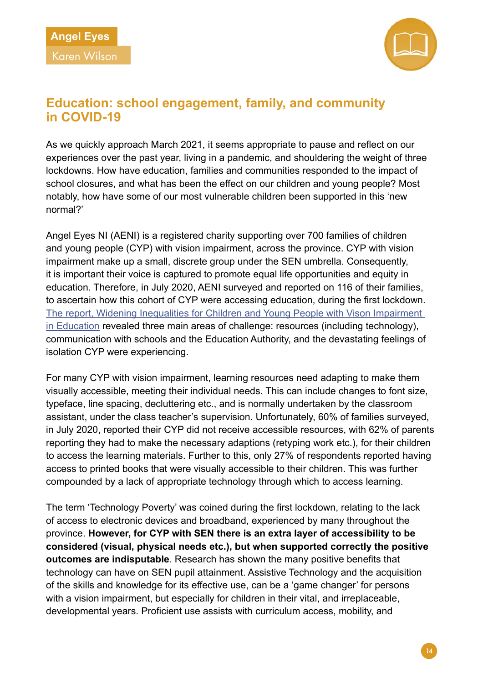<span id="page-17-0"></span>



## **Education: school engagement, family, and community in COVID-19**

As we quickly approach March 2021, it seems appropriate to pause and reflect on our experiences over the past year, living in a pandemic, and shouldering the weight of three lockdowns. How have education, families and communities responded to the impact of school closures, and what has been the effect on our children and young people? Most notably, how have some of our most vulnerable children been supported in this 'new normal?'

Angel Eyes NI (AENI) is a registered charity supporting over 700 families of children and young people (CYP) with vision impairment, across the province. CYP with vision impairment make up a small, discrete group under the SEN umbrella. Consequently, it is important their voice is captured to promote equal life opportunities and equity in education. Therefore, in July 2020, AENI surveyed and reported on 116 of their families, to ascertain how this cohort of CYP were accessing education, during the first lockdown. [The report, Widening Inequalities for Children and Young People with Vison Impairment](https://static1.squarespace.com/static/5b89530f85ede169340412c4/t/5f2072664bf58900247b7d98/1595961962966/Covid19-widening-inequalities-for-CYP-with-VI-in-Education.pdf)  [in Education](https://static1.squarespace.com/static/5b89530f85ede169340412c4/t/5f2072664bf58900247b7d98/1595961962966/Covid19-widening-inequalities-for-CYP-with-VI-in-Education.pdf) revealed three main areas of challenge: resources (including technology), communication with schools and the Education Authority, and the devastating feelings of isolation CYP were experiencing.

For many CYP with vision impairment, learning resources need adapting to make them visually accessible, meeting their individual needs. This can include changes to font size, typeface, line spacing, decluttering etc., and is normally undertaken by the classroom assistant, under the class teacher's supervision. Unfortunately, 60% of families surveyed, in July 2020, reported their CYP did not receive accessible resources, with 62% of parents reporting they had to make the necessary adaptions (retyping work etc.), for their children to access the learning materials. Further to this, only 27% of respondents reported having access to printed books that were visually accessible to their children. This was further compounded by a lack of appropriate technology through which to access learning.

The term 'Technology Poverty' was coined during the first lockdown, relating to the lack of access to electronic devices and broadband, experienced by many throughout the province. **However, for CYP with SEN there is an extra layer of accessibility to be considered (visual, physical needs etc.), but when supported correctly the positive outcomes are indisputable**. Research has shown the many positive benefits that technology can have on SEN pupil attainment. Assistive Technology and the acquisition of the skills and knowledge for its effective use, can be a 'game changer' for persons with a vision impairment, but especially for children in their vital, and irreplaceable, developmental years. Proficient use assists with curriculum access, mobility, and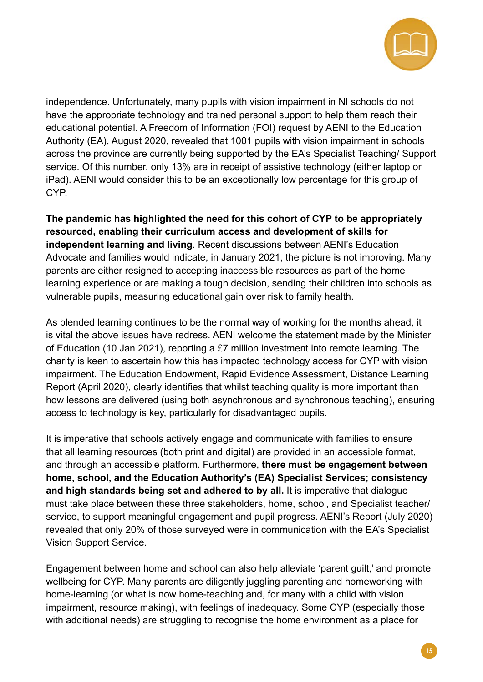

independence. Unfortunately, many pupils with vision impairment in NI schools do not have the appropriate technology and trained personal support to help them reach their educational potential. A Freedom of Information (FOI) request by AENI to the Education Authority (EA), August 2020, revealed that 1001 pupils with vision impairment in schools across the province are currently being supported by the EA's Specialist Teaching/ Support service. Of this number, only 13% are in receipt of assistive technology (either laptop or iPad). AENI would consider this to be an exceptionally low percentage for this group of CYP.

**The pandemic has highlighted the need for this cohort of CYP to be appropriately resourced, enabling their curriculum access and development of skills for independent learning and living**. Recent discussions between AENI's Education Advocate and families would indicate, in January 2021, the picture is not improving. Many parents are either resigned to accepting inaccessible resources as part of the home learning experience or are making a tough decision, sending their children into schools as vulnerable pupils, measuring educational gain over risk to family health.

As blended learning continues to be the normal way of working for the months ahead, it is vital the above issues have redress. AENI welcome the statement made by the Minister of Education (10 Jan 2021), reporting a £7 million investment into remote learning. The charity is keen to ascertain how this has impacted technology access for CYP with vision impairment. The Education Endowment, Rapid Evidence Assessment, Distance Learning Report (April 2020), clearly identifies that whilst teaching quality is more important than how lessons are delivered (using both asynchronous and synchronous teaching), ensuring access to technology is key, particularly for disadvantaged pupils.

It is imperative that schools actively engage and communicate with families to ensure that all learning resources (both print and digital) are provided in an accessible format, and through an accessible platform. Furthermore, **there must be engagement between home, school, and the Education Authority's (EA) Specialist Services; consistency and high standards being set and adhered to by all.** It is imperative that dialogue must take place between these three stakeholders, home, school, and Specialist teacher/ service, to support meaningful engagement and pupil progress. AENI's Report (July 2020) revealed that only 20% of those surveyed were in communication with the EA's Specialist Vision Support Service.

Engagement between home and school can also help alleviate 'parent guilt,' and promote wellbeing for CYP. Many parents are diligently juggling parenting and homeworking with home-learning (or what is now home-teaching and, for many with a child with vision impairment, resource making), with feelings of inadequacy. Some CYP (especially those with additional needs) are struggling to recognise the home environment as a place for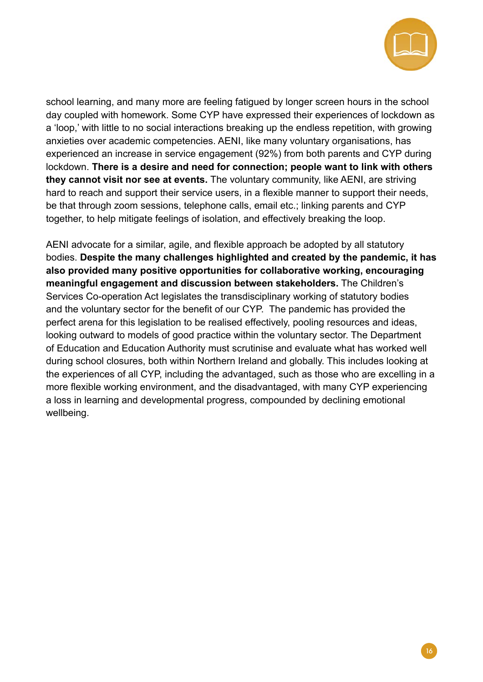

school learning, and many more are feeling fatigued by longer screen hours in the school day coupled with homework. Some CYP have expressed their experiences of lockdown as a 'loop,' with little to no social interactions breaking up the endless repetition, with growing anxieties over academic competencies. AENI, like many voluntary organisations, has experienced an increase in service engagement (92%) from both parents and CYP during lockdown. **There is a desire and need for connection; people want to link with others they cannot visit nor see at events.** The voluntary community, like AENI, are striving hard to reach and support their service users, in a flexible manner to support their needs, be that through zoom sessions, telephone calls, email etc.; linking parents and CYP together, to help mitigate feelings of isolation, and effectively breaking the loop.

AENI advocate for a similar, agile, and flexible approach be adopted by all statutory bodies. **Despite the many challenges highlighted and created by the pandemic, it has also provided many positive opportunities for collaborative working, encouraging meaningful engagement and discussion between stakeholders.** The Children's Services Co-operation Act legislates the transdisciplinary working of statutory bodies and the voluntary sector for the benefit of our CYP. The pandemic has provided the perfect arena for this legislation to be realised effectively, pooling resources and ideas, looking outward to models of good practice within the voluntary sector. The Department of Education and Education Authority must scrutinise and evaluate what has worked well during school closures, both within Northern Ireland and globally. This includes looking at the experiences of all CYP, including the advantaged, such as those who are excelling in a more flexible working environment, and the disadvantaged, with many CYP experiencing a loss in learning and developmental progress, compounded by declining emotional wellbeing.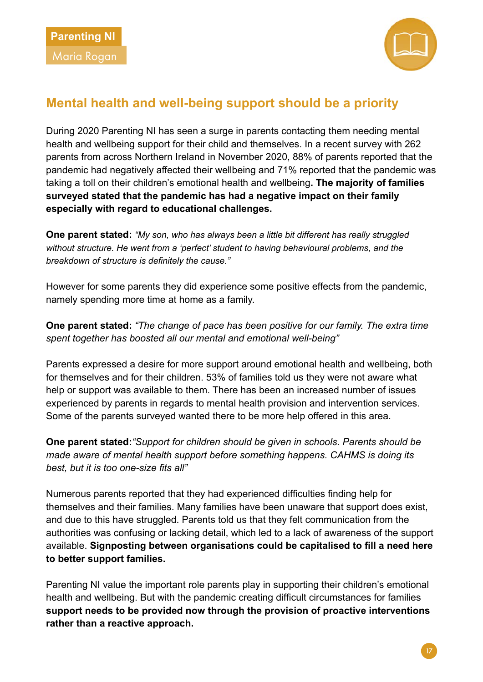

## <span id="page-20-0"></span>**Mental health and well-being support should be a priority**

During 2020 Parenting NI has seen a surge in parents contacting them needing mental health and wellbeing support for their child and themselves. In a recent survey with 262 parents from across Northern Ireland in November 2020, 88% of parents reported that the pandemic had negatively affected their wellbeing and 71% reported that the pandemic was taking a toll on their children's emotional health and wellbeing**. The majority of families surveyed stated that the pandemic has had a negative impact on their family especially with regard to educational challenges.** 

**One parent stated:** *"My son, who has always been a little bit different has really struggled without structure. He went from a 'perfect' student to having behavioural problems, and the breakdown of structure is definitely the cause."*

However for some parents they did experience some positive effects from the pandemic, namely spending more time at home as a family.

**One parent stated:** *"The change of pace has been positive for our family. The extra time spent together has boosted all our mental and emotional well-being"*

Parents expressed a desire for more support around emotional health and wellbeing, both for themselves and for their children. 53% of families told us they were not aware what help or support was available to them. There has been an increased number of issues experienced by parents in regards to mental health provision and intervention services. Some of the parents surveyed wanted there to be more help offered in this area.

**One parent stated:***"Support for children should be given in schools. Parents should be made aware of mental health support before something happens. CAHMS is doing its best, but it is too one-size fits all"*

Numerous parents reported that they had experienced difficulties finding help for themselves and their families. Many families have been unaware that support does exist, and due to this have struggled. Parents told us that they felt communication from the authorities was confusing or lacking detail, which led to a lack of awareness of the support available. **Signposting between organisations could be capitalised to fill a need here to better support families.** 

Parenting NI value the important role parents play in supporting their children's emotional health and wellbeing. But with the pandemic creating difficult circumstances for families **support needs to be provided now through the provision of proactive interventions rather than a reactive approach.**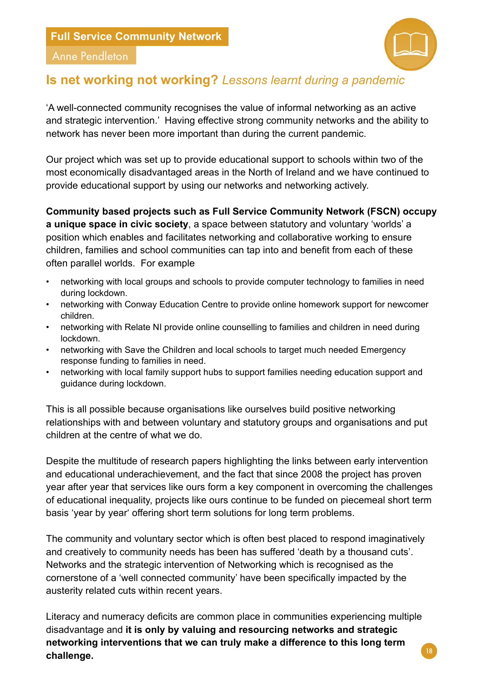

#### <span id="page-21-0"></span>Anne Pendleton

## **Is net working not working?** *Lessons learnt during a pandemic*

'A well-connected community recognises the value of informal networking as an active and strategic intervention.' Having effective strong community networks and the ability to network has never been more important than during the current pandemic.

Our project which was set up to provide educational support to schools within two of the most economically disadvantaged areas in the North of Ireland and we have continued to provide educational support by using our networks and networking actively.

**Community based projects such as Full Service Community Network (FSCN) occupy a unique space in civic society**, a space between statutory and voluntary 'worlds' a position which enables and facilitates networking and collaborative working to ensure children, families and school communities can tap into and benefit from each of these often parallel worlds. For example

- networking with local groups and schools to provide computer technology to families in need during lockdown.
- networking with Conway Education Centre to provide online homework support for newcomer children.
- networking with Relate NI provide online counselling to families and children in need during lockdown.
- networking with Save the Children and local schools to target much needed Emergency response funding to families in need.
- networking with local family support hubs to support families needing education support and guidance during lockdown.

This is all possible because organisations like ourselves build positive networking relationships with and between voluntary and statutory groups and organisations and put children at the centre of what we do.

Despite the multitude of research papers highlighting the links between early intervention and educational underachievement, and the fact that since 2008 the project has proven year after year that services like ours form a key component in overcoming the challenges of educational inequality, projects like ours continue to be funded on piecemeal short term basis 'year by year' offering short term solutions for long term problems.

The community and voluntary sector which is often best placed to respond imaginatively and creatively to community needs has been has suffered 'death by a thousand cuts'. Networks and the strategic intervention of Networking which is recognised as the cornerstone of a 'well connected community' have been specifically impacted by the austerity related cuts within recent years.

Literacy and numeracy deficits are common place in communities experiencing multiple disadvantage and **it is only by valuing and resourcing networks and strategic networking interventions that we can truly make a difference to this long term challenge.**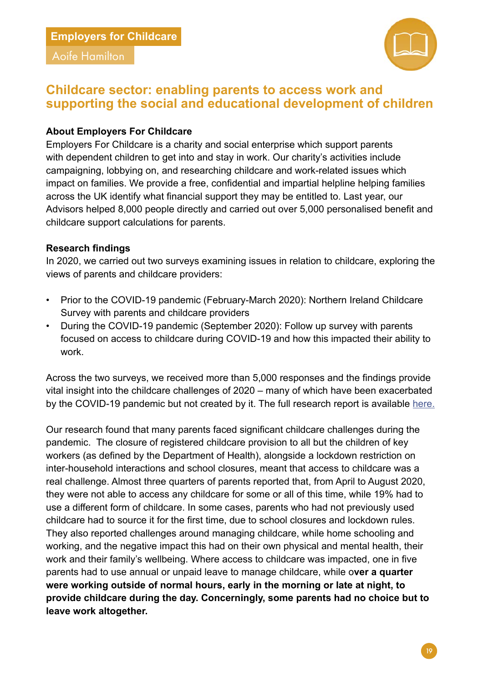### <span id="page-22-0"></span>**Employers for Childcare**

Aoife Hamilton



## **Childcare sector: enabling parents to access work and supporting the social and educational development of children**

#### **About Employers For Childcare**

Employers For Childcare is a charity and social enterprise which support parents with dependent children to get into and stay in work. Our charity's activities include campaigning, lobbying on, and researching childcare and work-related issues which impact on families. We provide a free, confidential and impartial helpline helping families across the UK identify what financial support they may be entitled to. Last year, our Advisors helped 8,000 people directly and carried out over 5,000 personalised benefit and childcare support calculations for parents.

#### **Research findings**

In 2020, we carried out two surveys examining issues in relation to childcare, exploring the views of parents and childcare providers:

- Prior to the COVID-19 pandemic (February-March 2020): Northern Ireland Childcare Survey with parents and childcare providers
- During the COVID-19 pandemic (September 2020): Follow up survey with parents focused on access to childcare during COVID-19 and how this impacted their ability to work.

Across the two surveys, we received more than 5,000 responses and the findings provide vital insight into the childcare challenges of 2020 – many of which have been exacerbated by the COVID-19 pandemic but not created by it. The full research report is available [here.](https://www.employersforchildcare.org/report/northern-ireland-childcare-survey-2020/ )

Our research found that many parents faced significant childcare challenges during the pandemic. The closure of registered childcare provision to all but the children of key workers (as defined by the Department of Health), alongside a lockdown restriction on inter-household interactions and school closures, meant that access to childcare was a real challenge. Almost three quarters of parents reported that, from April to August 2020, they were not able to access any childcare for some or all of this time, while 19% had to use a different form of childcare. In some cases, parents who had not previously used childcare had to source it for the first time, due to school closures and lockdown rules. They also reported challenges around managing childcare, while home schooling and working, and the negative impact this had on their own physical and mental health, their work and their family's wellbeing. Where access to childcare was impacted, one in five parents had to use annual or unpaid leave to manage childcare, while o**ver a quarter were working outside of normal hours, early in the morning or late at night, to provide childcare during the day. Concerningly, some parents had no choice but to leave work altogether.**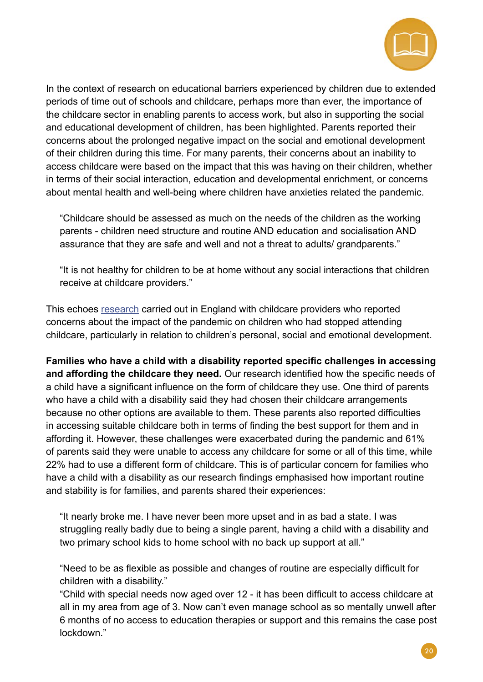

In the context of research on educational barriers experienced by children due to extended periods of time out of schools and childcare, perhaps more than ever, the importance of the childcare sector in enabling parents to access work, but also in supporting the social and educational development of children, has been highlighted. Parents reported their concerns about the prolonged negative impact on the social and emotional development of their children during this time. For many parents, their concerns about an inability to access childcare were based on the impact that this was having on their children, whether in terms of their social interaction, education and developmental enrichment, or concerns about mental health and well-being where children have anxieties related the pandemic.

"Childcare should be assessed as much on the needs of the children as the working parents - children need structure and routine AND education and socialisation AND assurance that they are safe and well and not a threat to adults/ grandparents."

"It is not healthy for children to be at home without any social interactions that children receive at childcare providers."

This echoes [research](https://assets.publishing.service.gov.uk/government/uploads/system/uploads/attachment_data/file/933836/COVID-19_series_briefing_on_early_years_October_2020.pdf
) carried out in England with childcare providers who reported concerns about the impact of the pandemic on children who had stopped attending childcare, particularly in relation to children's personal, social and emotional development.

**Families who have a child with a disability reported specific challenges in accessing and affording the childcare they need.** Our research identified how the specific needs of a child have a significant influence on the form of childcare they use. One third of parents who have a child with a disability said they had chosen their childcare arrangements because no other options are available to them. These parents also reported difficulties in accessing suitable childcare both in terms of finding the best support for them and in affording it. However, these challenges were exacerbated during the pandemic and 61% of parents said they were unable to access any childcare for some or all of this time, while 22% had to use a different form of childcare. This is of particular concern for families who have a child with a disability as our research findings emphasised how important routine and stability is for families, and parents shared their experiences:

"It nearly broke me. I have never been more upset and in as bad a state. I was struggling really badly due to being a single parent, having a child with a disability and two primary school kids to home school with no back up support at all."

"Need to be as flexible as possible and changes of routine are especially difficult for children with a disability."

"Child with special needs now aged over 12 - it has been difficult to access childcare at all in my area from age of 3. Now can't even manage school as so mentally unwell after 6 months of no access to education therapies or support and this remains the case post lockdown."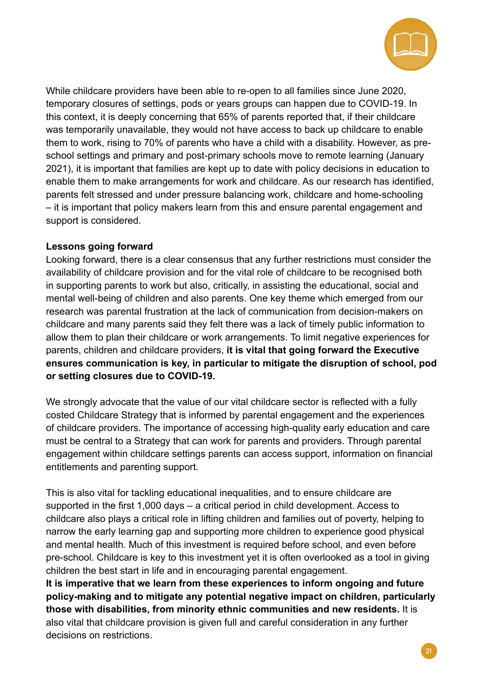

While childcare providers have been able to re-open to all families since June 2020, temporary closures of settings, pods or years groups can happen due to COVID-19. In this context, it is deeply concerning that 65% of parents reported that, if their childcare was temporarily unavailable, they would not have access to back up childcare to enable them to work, rising to 70% of parents who have a child with a disability. However, as preschool settings and primary and post-primary schools move to remote learning (January 2021), it is important that families are kept up to date with policy decisions in education to enable them to make arrangements for work and childcare. As our research has identified, parents felt stressed and under pressure balancing work, childcare and home-schooling – it is important that policy makers learn from this and ensure parental engagement and support is considered.

#### **Lessons going forward**

Looking forward, there is a clear consensus that any further restrictions must consider the availability of childcare provision and for the vital role of childcare to be recognised both in supporting parents to work but also, critically, in assisting the educational, social and mental well-being of children and also parents. One key theme which emerged from our research was parental frustration at the lack of communication from decision-makers on childcare and many parents said they felt there was a lack of timely public information to allow them to plan their childcare or work arrangements. To limit negative experiences for parents, children and childcare providers, **it is vital that going forward the Executive ensures communication is key, in particular to mitigate the disruption of school, pod or setting closures due to COVID-19.** 

We strongly advocate that the value of our vital childcare sector is reflected with a fully costed Childcare Strategy that is informed by parental engagement and the experiences of childcare providers. The importance of accessing high-quality early education and care must be central to a Strategy that can work for parents and providers. Through parental engagement within childcare settings parents can access support, information on financial entitlements and parenting support.

This is also vital for tackling educational inequalities, and to ensure childcare are supported in the first 1,000 days – a critical period in child development. Access to childcare also plays a critical role in lifting children and families out of poverty, helping to narrow the early learning gap and supporting more children to experience good physical and mental health. Much of this investment is required before school, and even before pre-school. Childcare is key to this investment yet it is often overlooked as a tool in giving children the best start in life and in encouraging parental engagement.

**It is imperative that we learn from these experiences to inform ongoing and future policy-making and to mitigate any potential negative impact on children, particularly those with disabilities, from minority ethnic communities and new residents.** It is also vital that childcare provision is given full and careful consideration in any further decisions on restrictions.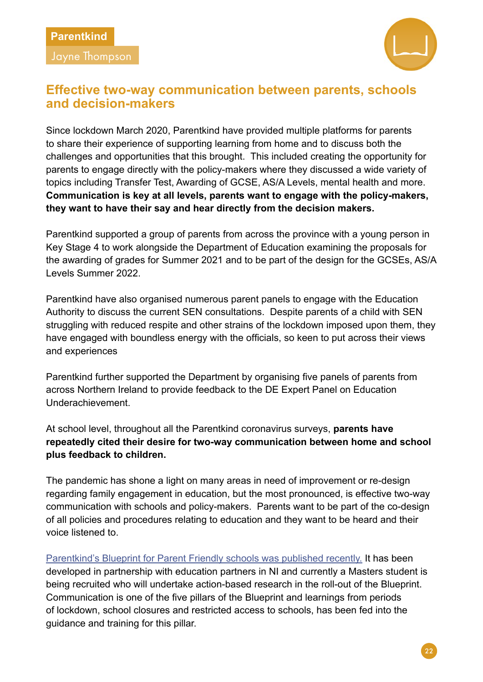<span id="page-25-0"></span>Jayne Thompson



## **Effective two-way communication between parents, schools and decision-makers**

Since lockdown March 2020, Parentkind have provided multiple platforms for parents to share their experience of supporting learning from home and to discuss both the challenges and opportunities that this brought. This included creating the opportunity for parents to engage directly with the policy-makers where they discussed a wide variety of topics including Transfer Test, Awarding of GCSE, AS/A Levels, mental health and more. **Communication is key at all levels, parents want to engage with the policy-makers, they want to have their say and hear directly from the decision makers.** 

Parentkind supported a group of parents from across the province with a young person in Key Stage 4 to work alongside the Department of Education examining the proposals for the awarding of grades for Summer 2021 and to be part of the design for the GCSEs, AS/A Levels Summer 2022.

Parentkind have also organised numerous parent panels to engage with the Education Authority to discuss the current SEN consultations. Despite parents of a child with SEN struggling with reduced respite and other strains of the lockdown imposed upon them, they have engaged with boundless energy with the officials, so keen to put across their views and experiences

Parentkind further supported the Department by organising five panels of parents from across Northern Ireland to provide feedback to the DE Expert Panel on Education Underachievement.

At school level, throughout all the Parentkind coronavirus surveys, **parents have repeatedly cited their desire for two-way communication between home and school plus feedback to children.** 

The pandemic has shone a light on many areas in need of improvement or re-design regarding family engagement in education, but the most pronounced, is effective two-way communication with schools and policy-makers. Parents want to be part of the co-design of all policies and procedures relating to education and they want to be heard and their voice listened to.

[Parentkind's Blueprint for Parent Friendly schools was published recently.](https://www.parentkind.org.uk/uploads/files/1/HR.Blueprint%20for%20Parent%20Friendly%20Schools%20spreads.pdf) It has been developed in partnership with education partners in NI and currently a Masters student is being recruited who will undertake action-based research in the roll-out of the Blueprint. Communication is one of the five pillars of the Blueprint and learnings from periods of lockdown, school closures and restricted access to schools, has been fed into the guidance and training for this pillar.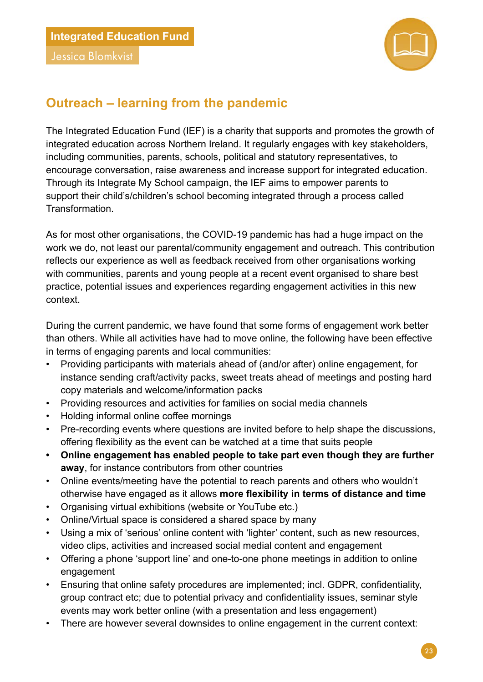<span id="page-26-0"></span>Jessica Blomkvist



## **Outreach – learning from the pandemic**

The Integrated Education Fund (IEF) is a charity that supports and promotes the growth of integrated education across Northern Ireland. It regularly engages with key stakeholders, including communities, parents, schools, political and statutory representatives, to encourage conversation, raise awareness and increase support for integrated education. Through its Integrate My School campaign, the IEF aims to empower parents to support their child's/children's school becoming integrated through a process called Transformation.

As for most other organisations, the COVID-19 pandemic has had a huge impact on the work we do, not least our parental/community engagement and outreach. This contribution reflects our experience as well as feedback received from other organisations working with communities, parents and young people at a recent event organised to share best practice, potential issues and experiences regarding engagement activities in this new context.

During the current pandemic, we have found that some forms of engagement work better than others. While all activities have had to move online, the following have been effective in terms of engaging parents and local communities:

- Providing participants with materials ahead of (and/or after) online engagement, for instance sending craft/activity packs, sweet treats ahead of meetings and posting hard copy materials and welcome/information packs
- Providing resources and activities for families on social media channels
- Holding informal online coffee mornings
- Pre-recording events where questions are invited before to help shape the discussions, offering flexibility as the event can be watched at a time that suits people
- **Online engagement has enabled people to take part even though they are further away**, for instance contributors from other countries
- Online events/meeting have the potential to reach parents and others who wouldn't otherwise have engaged as it allows **more flexibility in terms of distance and time**
- Organising virtual exhibitions (website or YouTube etc.)
- Online/Virtual space is considered a shared space by many
- Using a mix of 'serious' online content with 'lighter' content, such as new resources, video clips, activities and increased social medial content and engagement
- Offering a phone 'support line' and one-to-one phone meetings in addition to online engagement
- Ensuring that online safety procedures are implemented; incl. GDPR, confidentiality, group contract etc; due to potential privacy and confidentiality issues, seminar style events may work better online (with a presentation and less engagement)
- There are however several downsides to online engagement in the current context: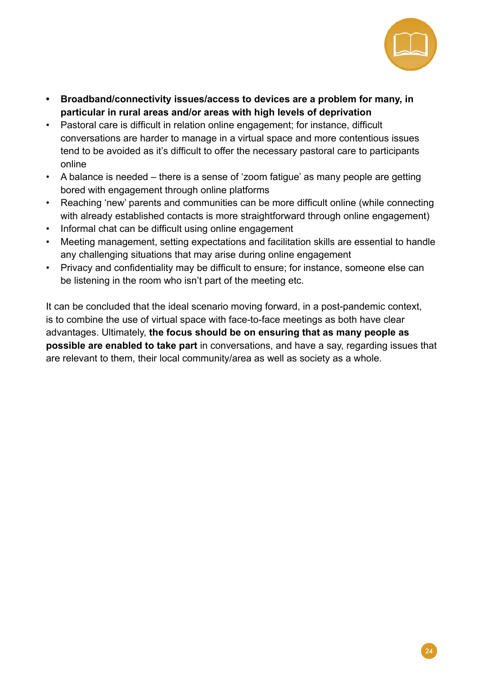

- **Broadband/connectivity issues/access to devices are a problem for many, in particular in rural areas and/or areas with high levels of deprivation**
- Pastoral care is difficult in relation online engagement; for instance, difficult conversations are harder to manage in a virtual space and more contentious issues tend to be avoided as it's difficult to offer the necessary pastoral care to participants online
- A balance is needed there is a sense of 'zoom fatigue' as many people are getting bored with engagement through online platforms
- Reaching 'new' parents and communities can be more difficult online (while connecting with already established contacts is more straightforward through online engagement)
- Informal chat can be difficult using online engagement
- Meeting management, setting expectations and facilitation skills are essential to handle any challenging situations that may arise during online engagement
- Privacy and confidentiality may be difficult to ensure; for instance, someone else can be listening in the room who isn't part of the meeting etc.

It can be concluded that the ideal scenario moving forward, in a post-pandemic context, is to combine the use of virtual space with face-to-face meetings as both have clear advantages. Ultimately, **the focus should be on ensuring that as many people as possible are enabled to take part** in conversations, and have a say, regarding issues that are relevant to them, their local community/area as well as society as a whole.